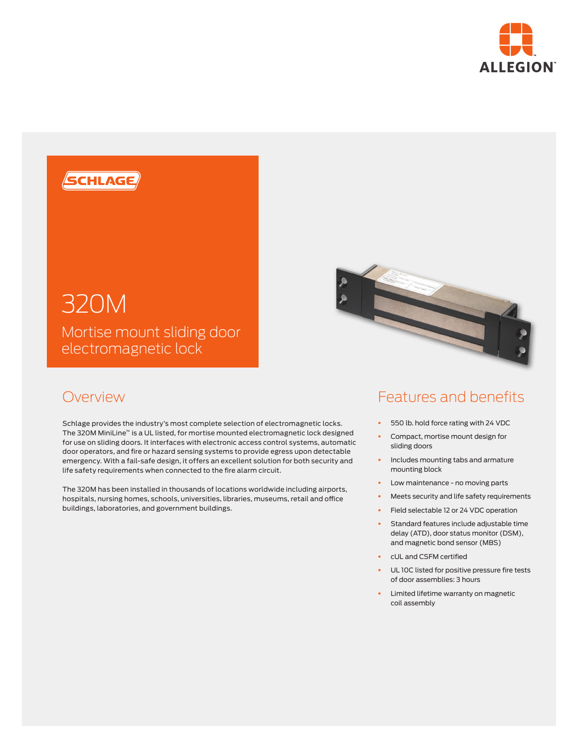



## 320M

Mortise mount sliding door electromagnetic lock

## **Overview**

Schlage provides the industry's most complete selection of electromagnetic locks. The 320M MiniLine™ is a UL listed, for mortise mounted electromagnetic lock designed for use on sliding doors. It interfaces with electronic access control systems, automatic door operators, and fire or hazard sensing systems to provide egress upon detectable emergency. With a fail-safe design, it offers an excellent solution for both security and life safety requirements when connected to the fire alarm circuit.

The 320M has been installed in thousands of locations worldwide including airports, hospitals, nursing homes, schools, universities, libraries, museums, retail and office buildings, laboratories, and government buildings.



## Features and benefits

- § 550 lb. hold force rating with 24 VDC
- § Compact, mortise mount design for sliding doors
- **•** Includes mounting tabs and armature mounting block
- Low maintenance no moving parts
- § Meets security and life safety requirements
- **•** Field selectable 12 or 24 VDC operation
- § Standard features include adjustable time delay (ATD), door status monitor (DSM), and magnetic bond sensor (MBS)
- § cUL and CSFM certified
- UL 10C listed for positive pressure fire tests of door assemblies: 3 hours
- Limited lifetime warranty on magnetic coil assembly